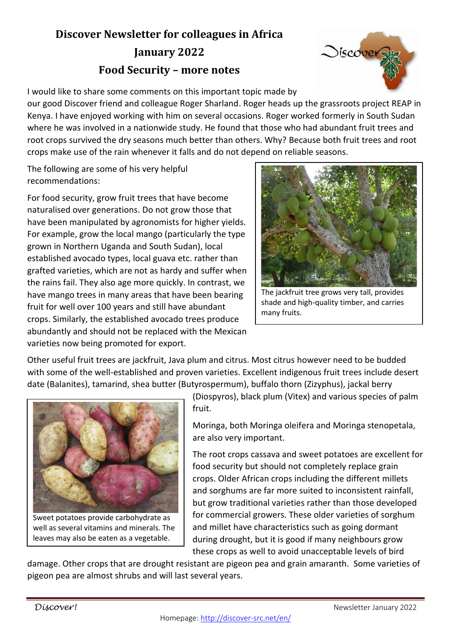## **Discover Newsletter for colleagues in Africa**

## **January 2022 Food Security – more notes**



I would like to share some comments on this important topic made by

our good Discover friend and colleague Roger Sharland. Roger heads up the grassroots project REAP in Kenya. I have enjoyed working with him on several occasions. Roger worked formerly in South Sudan where he was involved in a nationwide study. He found that those who had abundant fruit trees and root crops survived the dry seasons much better than others. Why? Because both fruit trees and root crops make use of the rain whenever it falls and do not depend on reliable seasons.

The following are some of his very helpful recommendations:

For food security, grow fruit trees that have become naturalised over generations. Do not grow those that have been manipulated by agronomists for higher yields. For example, grow the local mango (particularly the type grown in Northern Uganda and South Sudan), local established avocado types, local guava etc. rather than grafted varieties, which are not as hardy and suffer when the rains fail. They also age more quickly. In contrast, we have mango trees in many areas that have been bearing fruit for well over 100 years and still have abundant crops. Similarly, the established avocado trees produce abundantly and should not be replaced with the Mexican varieties now being promoted for export.



The jackfruit tree grows very tall, provides shade and high-quality timber, and carries many fruits.

Other useful fruit trees are jackfruit, Java plum and citrus. Most citrus however need to be budded with some of the well-established and proven varieties. Excellent indigenous fruit trees include desert date (Balanites), tamarind, shea butter (Butyrospermum), buffalo thorn (Zizyphus), jackal berry



well as several vitamins and minerals. The leaves may also be eaten as a vegetable.

(Diospyros), black plum (Vitex) and various species of palm fruit.

Moringa, both Moringa oleifera and Moringa stenopetala, are also very important.

The root crops cassava and sweet potatoes are excellent for food security but should not completely replace grain crops. Older African crops including the different millets and sorghums are far more suited to inconsistent rainfall, but grow traditional varieties rather than those developed for commercial growers. These older varieties of sorghum and millet have characteristics such as going dormant during drought, but it is good if many neighbours grow these crops as well to avoid unacceptable levels of bird

damage. Other crops that are drought resistant are pigeon pea and grain amaranth. Some varieties of pigeon pea are almost shrubs and will last several years.